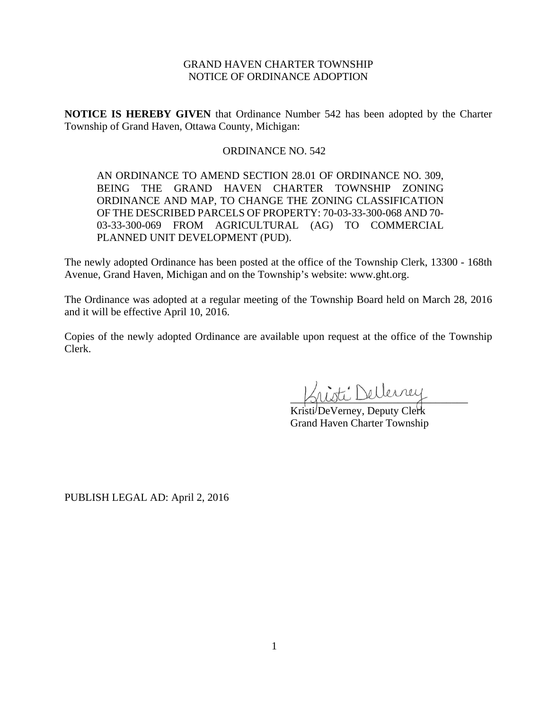# GRAND HAVEN CHARTER TOWNSHIP NOTICE OF ORDINANCE ADOPTION

**NOTICE IS HEREBY GIVEN** that Ordinance Number 542 has been adopted by the Charter Township of Grand Haven, Ottawa County, Michigan:

### ORDINANCE NO. 542

AN ORDINANCE TO AMEND SECTION 28.01 OF ORDINANCE NO. 309, BEING THE GRAND HAVEN CHARTER TOWNSHIP ZONING ORDINANCE AND MAP, TO CHANGE THE ZONING CLASSIFICATION OF THE DESCRIBED PARCELS OF PROPERTY: 70-03-33-300-068 AND 70- 03-33-300-069 FROM AGRICULTURAL (AG) TO COMMERCIAL PLANNED UNIT DEVELOPMENT (PUD).

The newly adopted Ordinance has been posted at the office of the Township Clerk, 13300 - 168th Avenue, Grand Haven, Michigan and on the Township's website: www.ght.org.

The Ordinance was adopted at a regular meeting of the Township Board held on March 28, 2016 and it will be effective April 10, 2016.

Copies of the newly adopted Ordinance are available upon request at the office of the Township Clerk.

Listi Dellerrey

Kristi DeVerney, Deputy Clerk Grand Haven Charter Township

PUBLISH LEGAL AD: April 2, 2016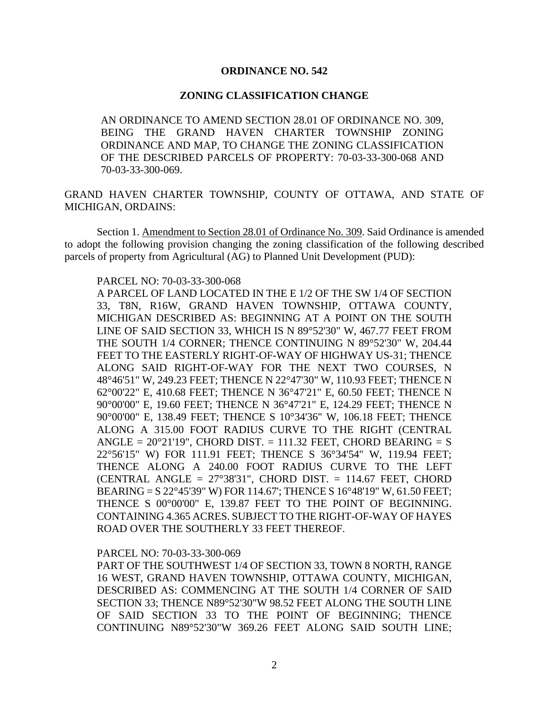## **ORDINANCE NO. 542**

## **ZONING CLASSIFICATION CHANGE**

AN ORDINANCE TO AMEND SECTION 28.01 OF ORDINANCE NO. 309, BEING THE GRAND HAVEN CHARTER TOWNSHIP ZONING ORDINANCE AND MAP, TO CHANGE THE ZONING CLASSIFICATION OF THE DESCRIBED PARCELS OF PROPERTY: 70-03-33-300-068 AND 70-03-33-300-069.

GRAND HAVEN CHARTER TOWNSHIP, COUNTY OF OTTAWA, AND STATE OF MICHIGAN, ORDAINS:

Section 1. Amendment to Section 28.01 of Ordinance No. 309. Said Ordinance is amended to adopt the following provision changing the zoning classification of the following described parcels of property from Agricultural (AG) to Planned Unit Development (PUD):

#### PARCEL NO: 70-03-33-300-068

A PARCEL OF LAND LOCATED IN THE E 1/2 OF THE SW 1/4 OF SECTION 33, T8N, R16W, GRAND HAVEN TOWNSHIP, OTTAWA COUNTY, MICHIGAN DESCRIBED AS: BEGINNING AT A POINT ON THE SOUTH LINE OF SAID SECTION 33, WHICH IS N 89°52'30" W, 467.77 FEET FROM THE SOUTH 1/4 CORNER; THENCE CONTINUING N 89°52'30" W, 204.44 FEET TO THE EASTERLY RIGHT-OF-WAY OF HIGHWAY US-31; THENCE ALONG SAID RIGHT-OF-WAY FOR THE NEXT TWO COURSES, N 48°46'51" W, 249.23 FEET; THENCE N 22°47'30" W, 110.93 FEET; THENCE N 62°00'22" E, 410.68 FEET; THENCE N 36°47'21" E, 60.50 FEET; THENCE N 90°00'00" E, 19.60 FEET; THENCE N 36°47'21" E, 124.29 FEET; THENCE N 90°00'00" E, 138.49 FEET; THENCE S 10°34'36" W, 106.18 FEET; THENCE ALONG A 315.00 FOOT RADIUS CURVE TO THE RIGHT (CENTRAL ANGLE =  $20^{\circ}21'19''$ , CHORD DIST. = 111.32 FEET, CHORD BEARING = S 22°56'15" W) FOR 111.91 FEET; THENCE S 36°34'54" W, 119.94 FEET; THENCE ALONG A 240.00 FOOT RADIUS CURVE TO THE LEFT (CENTRAL ANGLE = 27°38'31", CHORD DIST. = 114.67 FEET, CHORD BEARING = S 22°45'39" W) FOR 114.67'; THENCE S 16°48'19" W, 61.50 FEET; THENCE S 00°00'00" E, 139.87 FEET TO THE POINT OF BEGINNING. CONTAINING 4.365 ACRES. SUBJECT TO THE RIGHT-OF-WAY OF HAYES ROAD OVER THE SOUTHERLY 33 FEET THEREOF.

#### PARCEL NO: 70-03-33-300-069

PART OF THE SOUTHWEST 1/4 OF SECTION 33, TOWN 8 NORTH, RANGE 16 WEST, GRAND HAVEN TOWNSHIP, OTTAWA COUNTY, MICHIGAN, DESCRIBED AS: COMMENCING AT THE SOUTH 1/4 CORNER OF SAID SECTION 33; THENCE N89°52'30"W 98.52 FEET ALONG THE SOUTH LINE OF SAID SECTION 33 TO THE POINT OF BEGINNING; THENCE CONTINUING N89°52'30"W 369.26 FEET ALONG SAID SOUTH LINE;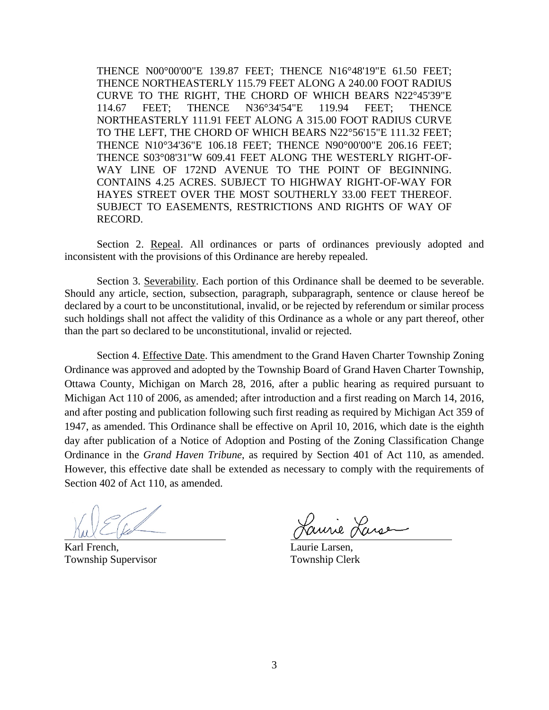THENCE N00°00'00"E 139.87 FEET; THENCE N16°48'19"E 61.50 FEET; THENCE NORTHEASTERLY 115.79 FEET ALONG A 240.00 FOOT RADIUS CURVE TO THE RIGHT, THE CHORD OF WHICH BEARS N22°45'39"E 114.67 FEET; THENCE N36°34'54"E 119.94 FEET; THENCE NORTHEASTERLY 111.91 FEET ALONG A 315.00 FOOT RADIUS CURVE TO THE LEFT, THE CHORD OF WHICH BEARS N22°56'15"E 111.32 FEET; THENCE N10°34'36"E 106.18 FEET; THENCE N90°00'00"E 206.16 FEET; THENCE S03°08'31"W 609.41 FEET ALONG THE WESTERLY RIGHT-OF-WAY LINE OF 172ND AVENUE TO THE POINT OF BEGINNING. CONTAINS 4.25 ACRES. SUBJECT TO HIGHWAY RIGHT-OF-WAY FOR HAYES STREET OVER THE MOST SOUTHERLY 33.00 FEET THEREOF. SUBJECT TO EASEMENTS, RESTRICTIONS AND RIGHTS OF WAY OF RECORD.

Section 2. Repeal. All ordinances or parts of ordinances previously adopted and inconsistent with the provisions of this Ordinance are hereby repealed.

Section 3. Severability. Each portion of this Ordinance shall be deemed to be severable. Should any article, section, subsection, paragraph, subparagraph, sentence or clause hereof be declared by a court to be unconstitutional, invalid, or be rejected by referendum or similar process such holdings shall not affect the validity of this Ordinance as a whole or any part thereof, other than the part so declared to be unconstitutional, invalid or rejected.

Section 4. Effective Date. This amendment to the Grand Haven Charter Township Zoning Ordinance was approved and adopted by the Township Board of Grand Haven Charter Township, Ottawa County, Michigan on March 28, 2016, after a public hearing as required pursuant to Michigan Act 110 of 2006, as amended; after introduction and a first reading on March 14, 2016, and after posting and publication following such first reading as required by Michigan Act 359 of 1947, as amended. This Ordinance shall be effective on April 10, 2016, which date is the eighth day after publication of a Notice of Adoption and Posting of the Zoning Classification Change Ordinance in the *Grand Haven Tribune*, as required by Section 401 of Act 110, as amended. However, this effective date shall be extended as necessary to comply with the requirements of Section 402 of Act 110, as amended.

Karl French, Laurie Larsen, Township Supervisor Township Clerk

mire Larse